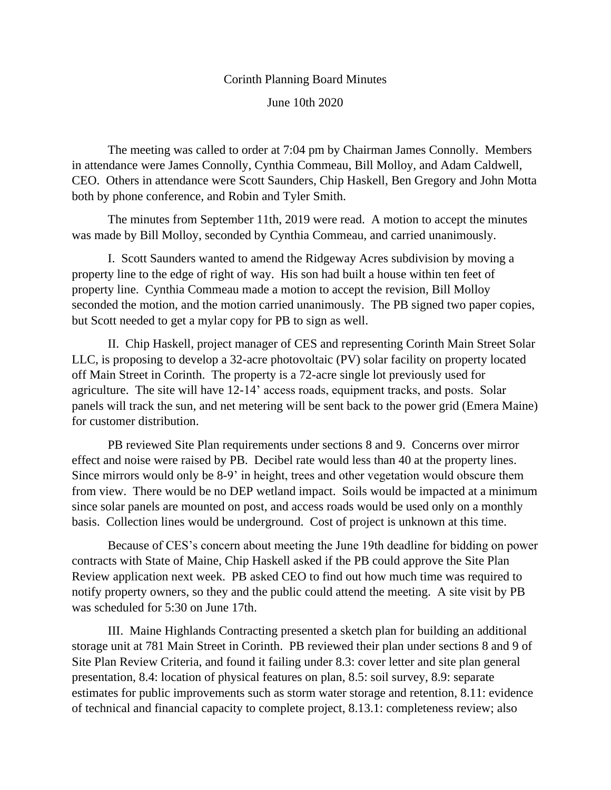## Corinth Planning Board Minutes June 10th 2020

The meeting was called to order at 7:04 pm by Chairman James Connolly. Members in attendance were James Connolly, Cynthia Commeau, Bill Molloy, and Adam Caldwell, CEO. Others in attendance were Scott Saunders, Chip Haskell, Ben Gregory and John Motta both by phone conference, and Robin and Tyler Smith.

The minutes from September 11th, 2019 were read. A motion to accept the minutes was made by Bill Molloy, seconded by Cynthia Commeau, and carried unanimously.

I. Scott Saunders wanted to amend the Ridgeway Acres subdivision by moving a property line to the edge of right of way. His son had built a house within ten feet of property line. Cynthia Commeau made a motion to accept the revision, Bill Molloy seconded the motion, and the motion carried unanimously. The PB signed two paper copies, but Scott needed to get a mylar copy for PB to sign as well.

II. Chip Haskell, project manager of CES and representing Corinth Main Street Solar LLC, is proposing to develop a 32-acre photovoltaic (PV) solar facility on property located off Main Street in Corinth. The property is a 72-acre single lot previously used for agriculture. The site will have 12-14' access roads, equipment tracks, and posts. Solar panels will track the sun, and net metering will be sent back to the power grid (Emera Maine) for customer distribution.

PB reviewed Site Plan requirements under sections 8 and 9. Concerns over mirror effect and noise were raised by PB. Decibel rate would less than 40 at the property lines. Since mirrors would only be 8-9' in height, trees and other vegetation would obscure them from view. There would be no DEP wetland impact. Soils would be impacted at a minimum since solar panels are mounted on post, and access roads would be used only on a monthly basis. Collection lines would be underground. Cost of project is unknown at this time.

Because of CES's concern about meeting the June 19th deadline for bidding on power contracts with State of Maine, Chip Haskell asked if the PB could approve the Site Plan Review application next week. PB asked CEO to find out how much time was required to notify property owners, so they and the public could attend the meeting. A site visit by PB was scheduled for 5:30 on June 17th.

III. Maine Highlands Contracting presented a sketch plan for building an additional storage unit at 781 Main Street in Corinth. PB reviewed their plan under sections 8 and 9 of Site Plan Review Criteria, and found it failing under 8.3: cover letter and site plan general presentation, 8.4: location of physical features on plan, 8.5: soil survey, 8.9: separate estimates for public improvements such as storm water storage and retention, 8.11: evidence of technical and financial capacity to complete project, 8.13.1: completeness review; also